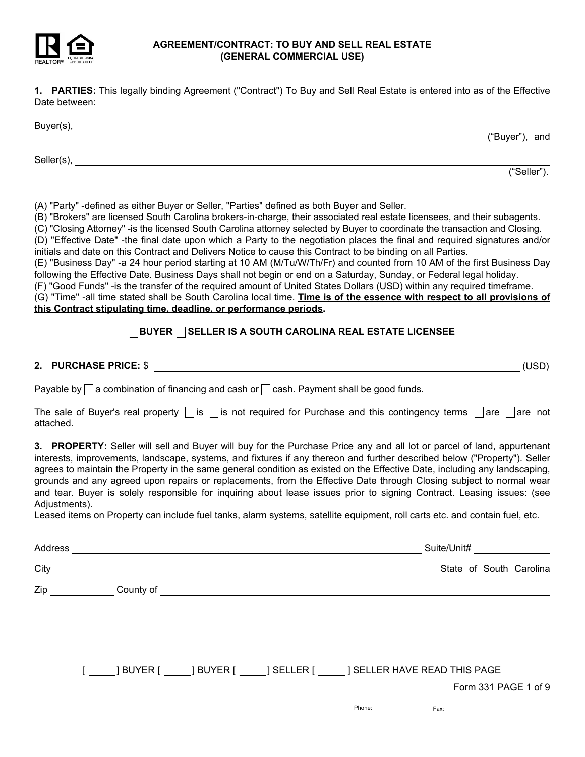

### AGREEMENT/CONTRACT: TO BUY AND SELL REAL ESTATE (GENERAL COMMERCIAL USE)

1. PARTIES: This legally binding Agreement ("Contract") To Buy and Sell Real Estate is entered into as of the Effective Date between:

| Buyer(s),  |                |
|------------|----------------|
|            | ("Buyer"), and |
| Seller(s), |                |
|            | "Seller").     |

(A) "Party" -defined as either Buyer or Seller, "Parties" defined as both Buyer and Seller.

(B) "Brokers" are licensed South Carolina brokers-in-charge, their associated real estate licensees, and their subagents. (C) "Closing Attorney" -is the licensed South Carolina attorney selected by Buyer to coordinate the transaction and Closing.

(D) "Effective Date" -the final date upon which a Party to the negotiation places the final and required signatures and/or initials and date on this Contract and Delivers Notice to cause this Contract to be binding on all Parties.

(E) "Business Day" -a 24 hour period starting at 10 AM (M/Tu/W/Th/Fr) and counted from 10 AM of the first Business Day following the Effective Date. Business Days shall not begin or end on a Saturday, Sunday, or Federal legal holiday.

(F) "Good Funds" -is the transfer of the required amount of United States Dollars (USD) within any required timeframe.

(G) "Time" -all time stated shall be South Carolina local time. Time is of the essence with respect to all provisions of this Contract stipulating time, deadline, or performance periods.

## $\Box$ BUYER  $\Box$  SELLER IS A SOUTH CAROLINA REAL ESTATE LICENSEE

2. PURCHASE PRICE: \$ (USD)

Payable by  $\Box$  a combination of financing and cash or  $\Box$  cash. Payment shall be good funds.

The sale of Buyer's real property  $\Box$  is  $\Box$  is not required for Purchase and this contingency terms  $\Box$  are  $\Box$  are not attached.

3. PROPERTY: Seller will sell and Buyer will buy for the Purchase Price any and all lot or parcel of land, appurtenant interests, improvements, landscape, systems, and fixtures if any thereon and further described below ("Property"). Seller agrees to maintain the Property in the same general condition as existed on the Effective Date, including any landscaping, grounds and any agreed upon repairs or replacements, from the Effective Date through Closing subject to normal wear and tear. Buyer is solely responsible for inquiring about lease issues prior to signing Contract. Leasing issues: (see Adjustments).

Leased items on Property can include fuel tanks, alarm systems, satellite equipment, roll carts etc. and contain fuel, etc.

|                                                                                                                |  |                                                                                                                      |                                                                                                                                                                                                                                      | Suite/Unit# |                         |
|----------------------------------------------------------------------------------------------------------------|--|----------------------------------------------------------------------------------------------------------------------|--------------------------------------------------------------------------------------------------------------------------------------------------------------------------------------------------------------------------------------|-------------|-------------------------|
| City                                                                                                           |  | <u> 1980 - Jan Samuel Barbara, martin da shekara 1980 - An tsara 1980 - An tsara 1980 - An tsara 1980 - An tsara</u> |                                                                                                                                                                                                                                      |             | State of South Carolina |
| Zip and the state of the state of the state of the state of the state of the state of the state of the state o |  |                                                                                                                      | County of <u>counts and contract and contract and contract and contract and contract of the contract of the contract of the contract of the contract of the contract of the contract of the contract of the contract of the cont</u> |             |                         |
|                                                                                                                |  |                                                                                                                      |                                                                                                                                                                                                                                      |             |                         |
|                                                                                                                |  |                                                                                                                      |                                                                                                                                                                                                                                      |             |                         |
|                                                                                                                |  |                                                                                                                      |                                                                                                                                                                                                                                      |             |                         |
|                                                                                                                |  |                                                                                                                      | [ ______] BUYER [ ______] BUYER [ ______] SELLER [ ______] SELLER HAVE READ THIS PAGE                                                                                                                                                |             |                         |
|                                                                                                                |  |                                                                                                                      |                                                                                                                                                                                                                                      |             | Form 331 PAGE 1 of 9    |

Phone: Fax: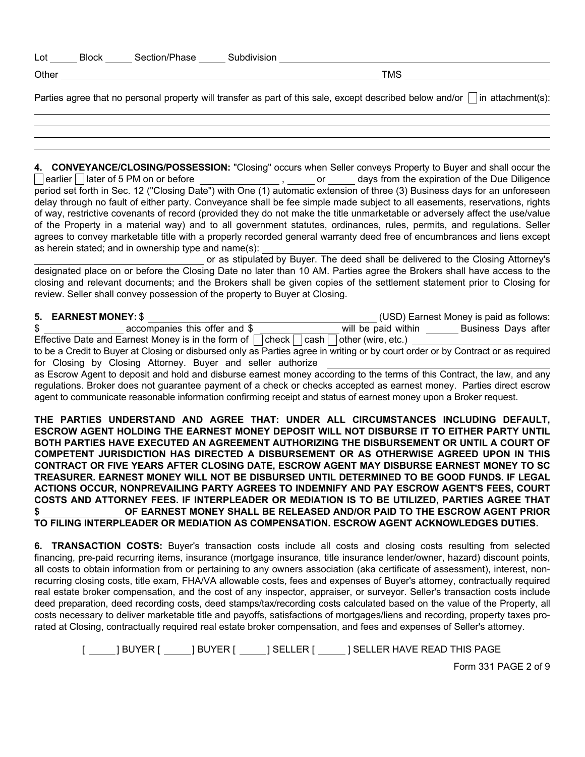| Lot   | <b>Block</b> | Section/Phase | Subdivision |            |  |
|-------|--------------|---------------|-------------|------------|--|
| Other |              |               |             | <b>TMS</b> |  |
|       |              |               |             |            |  |

Parties agree that no personal property will transfer as part of this sale, except described below and/or  $\Box$  in attachment(s):

4. CONVEYANCE/CLOSING/POSSESSION: "Closing" occurs when Seller conveys Property to Buyer and shall occur the  $\Box$  earlier  $\Box$  later of 5 PM on or before  $\Box$  or  $\Box$  or  $\Box$  days from the expiration of the Due Diligence period set forth in Sec. 12 ("Closing Date") with One (1) automatic extension of three (3) Business days for an unforeseen delay through no fault of either party. Conveyance shall be fee simple made subject to all easements, reservations, rights of way, restrictive covenants of record (provided they do not make the title unmarketable or adversely affect the use/value of the Property in a material way) and to all government statutes, ordinances, rules, permits, and regulations. Seller agrees to convey marketable title with a properly recorded general warranty deed free of encumbrances and liens except as herein stated; and in ownership type and name(s):

or as stipulated by Buyer. The deed shall be delivered to the Closing Attorney's designated place on or before the Closing Date no later than 10 AM. Parties agree the Brokers shall have access to the closing and relevant documents; and the Brokers shall be given copies of the settlement statement prior to Closing for review. Seller shall convey possession of the property to Buyer at Closing.

## 5. EARNEST MONEY:\$ (USD) Earnest Money is paid as follows:

| $\mathbf{v}$ . Eanine by Indianapolisa and the state of $\mathbf{v}$                                  |                     | (OOD) Lambot money to paid as follows. |
|-------------------------------------------------------------------------------------------------------|---------------------|----------------------------------------|
| accompanies this offer and \$                                                                         | will be paid within | Business Days after                    |
| Effective Date and Earnest Money is in the form of $\Box$ check $\Box$ cash $\Box$ other (wire, etc.) |                     |                                        |

to be a Credit to Buyer at Closing or disbursed only as Parties agree in writing or by court order or by Contract or as required for Closing by Closing Attorney. Buyer and seller authorize

as Escrow Agent to deposit and hold and disburse earnest money according to the terms of this Contract, the law, and any regulations. Broker does not guarantee payment of a check or checks accepted as earnest money. Parties direct escrow agent to communicate reasonable information confirming receipt and status of earnest money upon a Broker request.

THE PARTIES UNDERSTAND AND AGREE THAT: UNDER ALL CIRCUMSTANCES INCLUDING DEFAULT, ESCROW AGENT HOLDING THE EARNEST MONEY DEPOSIT WILL NOT DISBURSE IT TO EITHER PARTY UNTIL BOTH PARTIES HAVE EXECUTED AN AGREEMENT AUTHORIZING THE DISBURSEMENT OR UNTIL A COURT OF COMPETENT JURISDICTION HAS DIRECTED A DISBURSEMENT OR AS OTHERWISE AGREED UPON IN THIS CONTRACT OR FIVE YEARS AFTER CLOSING DATE, ESCROW AGENT MAY DISBURSE EARNEST MONEY TO SC TREASURER. EARNEST MONEY WILL NOT BE DISBURSED UNTIL DETERMINED TO BE GOOD FUNDS. IF LEGAL ACTIONS OCCUR, NONPREVAILING PARTY AGREES TO INDEMNIFY AND PAY ESCROW AGENT'S FEES, COURT COSTS AND ATTORNEY FEES. IF INTERPLEADER OR MEDIATION IS TO BE UTILIZED, PARTIES AGREE THAT \$ OF EARNEST MONEY SHALL BE RELEASED AND/OR PAID TO THE ESCROW AGENT PRIOR TO FILING INTERPLEADER OR MEDIATION AS COMPENSATION. ESCROW AGENT ACKNOWLEDGES DUTIES.

6. TRANSACTION COSTS: Buyer's transaction costs include all costs and closing costs resulting from selected financing, pre-paid recurring items, insurance (mortgage insurance, title insurance lender/owner, hazard) discount points, all costs to obtain information from or pertaining to any owners association (aka certificate of assessment), interest, nonrecurring closing costs, title exam, FHA/VA allowable costs, fees and expenses of Buyer's attorney, contractually required real estate broker compensation, and the cost of any inspector, appraiser, or surveyor. Seller's transaction costs include deed preparation, deed recording costs, deed stamps/tax/recording costs calculated based on the value of the Property, all costs necessary to deliver marketable title and payoffs, satisfactions of mortgages/liens and recording, property taxes prorated at Closing, contractually required real estate broker compensation, and fees and expenses of Seller's attorney.

[ ] BUYER [ ] BUYER [ ] SELLER [ ] SELLER HAVE READ THIS PAGE

Form 331 PAGE 2 of 9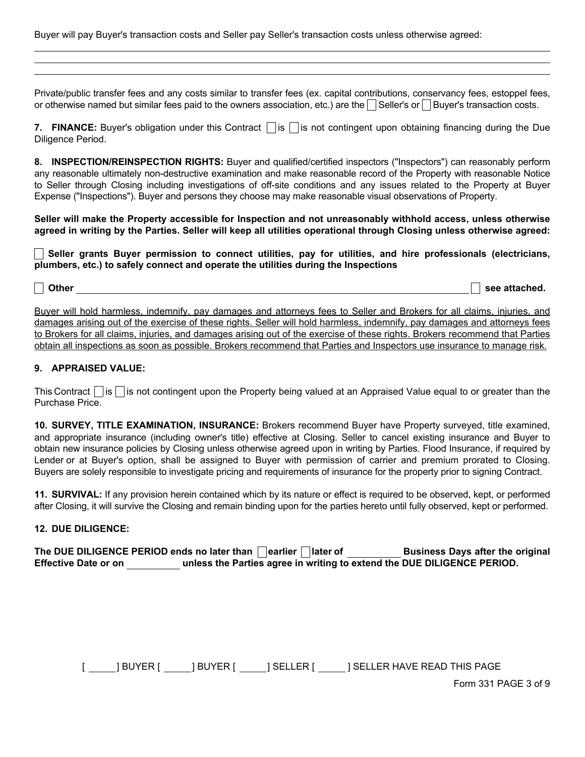Buyer will pay Buyer's transaction costs and Seller pay Seller's transaction costs unless otherwise agreed:

Private/public transfer fees and any costs similar to transfer fees (ex. capital contributions, conservancy fees, estoppel fees, or otherwise named but similar fees paid to the owners association, etc.) are the  $\Box$  Seller's or  $\Box$  Buyer's transaction costs.

7. FINANCE: Buyer's obligation under this Contract  $\Box$  is  $\Box$  is not contingent upon obtaining financing during the Due Diligence Period.

8. INSPECTION/REINSPECTION RIGHTS: Buyer and qualified/certified inspectors ("Inspectors") can reasonably perform any reasonable ultimately non-destructive examination and make reasonable record of the Property with reasonable Notice to Seller through Closing including investigations of off-site conditions and any issues related to the Property at Buyer Expense ("Inspections"). Buyer and persons they choose may make reasonable visual observations of Property.

Seller will make the Property accessible for Inspection and not unreasonably withhold access, unless otherwise agreed in writing by the Parties. Seller will keep all utilities operational through Closing unless otherwise agreed:

 $\Box$  Seller grants Buyer permission to connect utilities, pay for utilities, and hire professionals (electricians, plumbers, etc.) to safely connect and operate the utilities during the Inspections

# Other see attached.

Buyer will hold harmless, indemnify, pay damages and attorneys fees to Seller and Brokers for all claims, injuries, and damages arising out of the exercise of these rights. Seller will hold harmless, indemnify, pay damages and attorneys fees to Brokers for all claims, injuries, and damages arising out of the exercise of these rights. Brokers recommend that Parties obtain all inspections as soon as possible. Brokers recommend that Parties and Inspectors use insurance to manage risk.

## 9. APPRAISED VALUE:

This Contract  $\Box$  is  $\Box$  is not contingent upon the Property being valued at an Appraised Value equal to or greater than the Purchase Price.

10. SURVEY, TITLE EXAMINATION, INSURANCE: Brokers recommend Buyer have Property surveyed, title examined, and appropriate insurance (including owner's title) effective at Closing. Seller to cancel existing insurance and Buyer to obtain new insurance policies by Closing unless otherwise agreed upon in writing by Parties. Flood Insurance, if required by Lender or at Buyer's option, shall be assigned to Buyer with permission of carrier and premium prorated to Closing. Buyers are solely responsible to investigate pricing and requirements of insurance for the property prior to signing Contract.

11. SURVIVAL: If any provision herein contained which by its nature or effect is required to be observed, kept, or performed after Closing, it will survive the Closing and remain binding upon for the parties hereto until fully observed, kept or performed.

## 12. DUE DILIGENCE:

The DUE DILIGENCE PERIOD ends no later than  $\Box$  earlier  $\Box$  later of Business Days after the original Effective Date or on unless the Parties agree in writing to extend the DUE DILIGENCE PERIOD.

[ \_\_\_\_\_\_] BUYER [ \_\_\_\_\_\_] BUYER [ \_\_\_\_\_\_] SELLER [ \_\_\_\_\_\_ ] SELLER HAVE READ THIS PAGE

Form 331 PAGE 3 of 9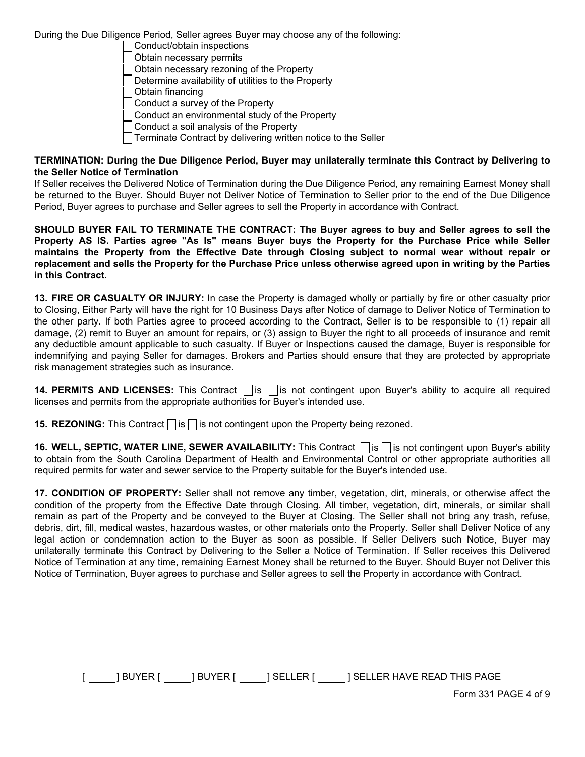During the Due Diligence Period, Seller agrees Buyer may choose any of the following:

- Conduct/obtain inspections
- Obtain necessary permits
- Obtain necessary rezoning of the Property
- Determine availability of utilities to the Property
- Obtain financing
- Conduct a survey of the Property
- Conduct an environmental study of the Property
- Conduct a soil analysis of the Property
- $\Box$  Terminate Contract by delivering written notice to the Seller

#### TERMINATION: During the Due Diligence Period, Buyer may unilaterally terminate this Contract by Delivering to the Seller Notice of Termination

If Seller receives the Delivered Notice of Termination during the Due Diligence Period, any remaining Earnest Money shall be returned to the Buyer. Should Buyer not Deliver Notice of Termination to Seller prior to the end of the Due Diligence Period, Buyer agrees to purchase and Seller agrees to sell the Property in accordance with Contract.

SHOULD BUYER FAIL TO TERMINATE THE CONTRACT: The Buyer agrees to buy and Seller agrees to sell the Property AS IS. Parties agree "As Is" means Buyer buys the Property for the Purchase Price while Seller maintains the Property from the Effective Date through Closing subject to normal wear without repair or replacement and sells the Property for the Purchase Price unless otherwise agreed upon in writing by the Parties in this Contract.

13. FIRE OR CASUALTY OR INJURY: In case the Property is damaged wholly or partially by fire or other casualty prior to Closing, Either Party will have the right for 10 Business Days after Notice of damage to Deliver Notice of Termination to the other party. If both Parties agree to proceed according to the Contract, Seller is to be responsible to (1) repair all damage, (2) remit to Buyer an amount for repairs, or (3) assign to Buyer the right to all proceeds of insurance and remit any deductible amount applicable to such casualty. If Buyer or Inspections caused the damage, Buyer is responsible for indemnifying and paying Seller for damages. Brokers and Parties should ensure that they are protected by appropriate risk management strategies such as insurance.

14. PERMITS AND LICENSES: This Contract  $\Box$  is  $\Box$  is not contingent upon Buyer's ability to acquire all required licenses and permits from the appropriate authorities for Buyer's intended use.

**15. REZONING:** This Contract  $\|\mathbf{s}\|$  is not contingent upon the Property being rezoned.

16. WELL, SEPTIC, WATER LINE, SEWER AVAILABILITY: This Contract  $\Box$  is  $\Box$  is not contingent upon Buyer's ability to obtain from the South Carolina Department of Health and Environmental Control or other appropriate authorities all required permits for water and sewer service to the Property suitable for the Buyer's intended use.

17. CONDITION OF PROPERTY: Seller shall not remove any timber, vegetation, dirt, minerals, or otherwise affect the condition of the property from the Effective Date through Closing. All timber, vegetation, dirt, minerals, or similar shall remain as part of the Property and be conveyed to the Buyer at Closing. The Seller shall not bring any trash, refuse, debris, dirt, fill, medical wastes, hazardous wastes, or other materials onto the Property. Seller shall Deliver Notice of any legal action or condemnation action to the Buyer as soon as possible. If Seller Delivers such Notice, Buyer may unilaterally terminate this Contract by Delivering to the Seller a Notice of Termination. If Seller receives this Delivered Notice of Termination at any time, remaining Earnest Money shall be returned to the Buyer. Should Buyer not Deliver this Notice of Termination, Buyer agrees to purchase and Seller agrees to sell the Property in accordance with Contract.

[ \_\_\_\_\_ ] BUYER [ \_\_\_\_\_ ] BUYER [ \_\_\_\_\_ ] SELLER [ \_\_\_\_\_ ] SELLER HAVE READ THIS PAGE

Form 331 PAGE 4 of 9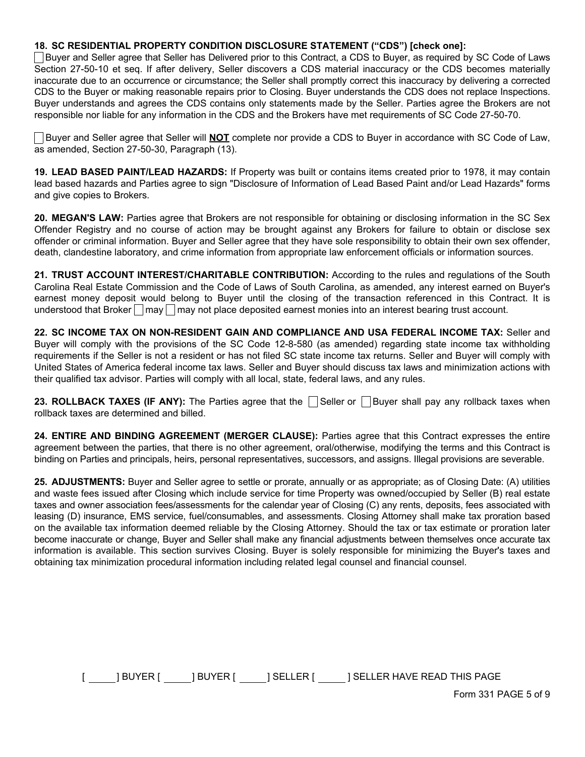#### 18. SC RESIDENTIAL PROPERTY CONDITION DISCLOSURE STATEMENT ("CDS") [check one]:

Buyer and Seller agree that Seller has Delivered prior to this Contract, a CDS to Buyer, as required by SC Code of Laws Section 27-50-10 et seq. If after delivery, Seller discovers a CDS material inaccuracy or the CDS becomes materially inaccurate due to an occurrence or circumstance; the Seller shall promptly correct this inaccuracy by delivering a corrected CDS to the Buyer or making reasonable repairs prior to Closing. Buyer understands the CDS does not replace Inspections. Buyer understands and agrees the CDS contains only statements made by the Seller. Parties agree the Brokers are not responsible nor liable for any information in the CDS and the Brokers have met requirements of SC Code 27-50-70.

Buyer and Seller agree that Seller will **NOT** complete nor provide a CDS to Buyer in accordance with SC Code of Law, as amended, Section 27-50-30, Paragraph (13).

19. LEAD BASED PAINT/LEAD HAZARDS: If Property was built or contains items created prior to 1978, it may contain lead based hazards and Parties agree to sign "Disclosure of Information of Lead Based Paint and/or Lead Hazards" forms and give copies to Brokers.

20. MEGAN'S LAW: Parties agree that Brokers are not responsible for obtaining or disclosing information in the SC Sex Offender Registry and no course of action may be brought against any Brokers for failure to obtain or disclose sex offender or criminal information. Buyer and Seller agree that they have sole responsibility to obtain their own sex offender, death, clandestine laboratory, and crime information from appropriate law enforcement officials or information sources.

21. TRUST ACCOUNT INTEREST/CHARITABLE CONTRIBUTION: According to the rules and regulations of the South Carolina Real Estate Commission and the Code of Laws of South Carolina, as amended, any interest earned on Buyer's earnest money deposit would belong to Buyer until the closing of the transaction referenced in this Contract. It is understood that Broker  $\Box$  may  $\Box$  may not place deposited earnest monies into an interest bearing trust account.

22. SC INCOME TAX ON NON-RESIDENT GAIN AND COMPLIANCE AND USA FEDERAL INCOME TAX: Seller and Buyer will comply with the provisions of the SC Code 12-8-580 (as amended) regarding state income tax withholding requirements if the Seller is not a resident or has not filed SC state income tax returns. Seller and Buyer will comply with United States of America federal income tax laws. Seller and Buyer should discuss tax laws and minimization actions with their qualified tax advisor. Parties will comply with all local, state, federal laws, and any rules.

23. ROLLBACK TAXES (IF ANY): The Parties agree that the  $\Box$  Seller or  $\Box$  Buyer shall pay any rollback taxes when rollback taxes are determined and billed.

24. ENTIRE AND BINDING AGREEMENT (MERGER CLAUSE): Parties agree that this Contract expresses the entire agreement between the parties, that there is no other agreement, oral/otherwise, modifying the terms and this Contract is binding on Parties and principals, heirs, personal representatives, successors, and assigns. Illegal provisions are severable.

25. ADJUSTMENTS: Buyer and Seller agree to settle or prorate, annually or as appropriate; as of Closing Date: (A) utilities and waste fees issued after Closing which include service for time Property was owned/occupied by Seller (B) real estate taxes and owner association fees/assessments for the calendar year of Closing (C) any rents, deposits, fees associated with leasing (D) insurance, EMS service, fuel/consumables, and assessments. Closing Attorney shall make tax proration based on the available tax information deemed reliable by the Closing Attorney. Should the tax or tax estimate or proration later become inaccurate or change, Buyer and Seller shall make any financial adjustments between themselves once accurate tax information is available. This section survives Closing. Buyer is solely responsible for minimizing the Buyer's taxes and obtaining tax minimization procedural information including related legal counsel and financial counsel.

[ \_\_\_\_\_ ] BUYER [ \_\_\_\_\_ ] BUYER [ \_\_\_\_\_ ] SELLER [ \_\_\_\_\_ ] SELLER HAVE READ THIS PAGE

Form 331 PAGE 5 of 9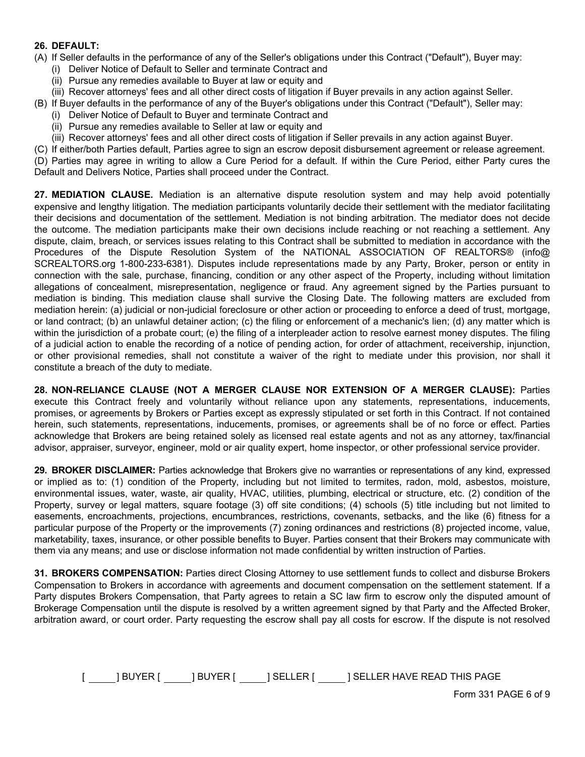#### 26. DEFAULT:

- (A) If Seller defaults in the performance of any of the Seller's obligations under this Contract ("Default"), Buyer may:
	- (i) Deliver Notice of Default to Seller and terminate Contract and
	- (ii) Pursue any remedies available to Buyer at law or equity and
	- (iii) Recover attorneys' fees and all other direct costs of litigation if Buyer prevails in any action against Seller.
- (B) If Buyer defaults in the performance of any of the Buyer's obligations under this Contract ("Default"), Seller may:
	- (i) Deliver Notice of Default to Buyer and terminate Contract and
	- (ii) Pursue any remedies available to Seller at law or equity and
	- (iii) Recover attorneys' fees and all other direct costs of litigation if Seller prevails in any action against Buyer.

(C) If either/both Parties default, Parties agree to sign an escrow deposit disbursement agreement or release agreement.

(D) Parties may agree in writing to allow a Cure Period for a default. If within the Cure Period, either Party cures the Default and Delivers Notice, Parties shall proceed under the Contract.

27. MEDIATION CLAUSE. Mediation is an alternative dispute resolution system and may help avoid potentially expensive and lengthy litigation. The mediation participants voluntarily decide their settlement with the mediator facilitating their decisions and documentation of the settlement. Mediation is not binding arbitration. The mediator does not decide the outcome. The mediation participants make their own decisions include reaching or not reaching a settlement. Any dispute, claim, breach, or services issues relating to this Contract shall be submitted to mediation in accordance with the Procedures of the Dispute Resolution System of the NATIONAL ASSOCIATION OF REALTORS® (info@ SCREALTORS.org 1-800-233-6381). Disputes include representations made by any Party, Broker, person or entity in connection with the sale, purchase, financing, condition or any other aspect of the Property, including without limitation allegations of concealment, misrepresentation, negligence or fraud. Any agreement signed by the Parties pursuant to mediation is binding. This mediation clause shall survive the Closing Date. The following matters are excluded from mediation herein: (a) judicial or non-judicial foreclosure or other action or proceeding to enforce a deed of trust, mortgage, or land contract; (b) an unlawful detainer action; (c) the filing or enforcement of a mechanic's lien; (d) any matter which is within the jurisdiction of a probate court; (e) the filing of a interpleader action to resolve earnest money disputes. The filing of a judicial action to enable the recording of a notice of pending action, for order of attachment, receivership, injunction, or other provisional remedies, shall not constitute a waiver of the right to mediate under this provision, nor shall it constitute a breach of the duty to mediate.

28. NON-RELIANCE CLAUSE (NOT A MERGER CLAUSE NOR EXTENSION OF A MERGER CLAUSE): Parties execute this Contract freely and voluntarily without reliance upon any statements, representations, inducements, promises, or agreements by Brokers or Parties except as expressly stipulated or set forth in this Contract. If not contained herein, such statements, representations, inducements, promises, or agreements shall be of no force or effect. Parties acknowledge that Brokers are being retained solely as licensed real estate agents and not as any attorney, tax/financial advisor, appraiser, surveyor, engineer, mold or air quality expert, home inspector, or other professional service provider.

29. BROKER DISCLAIMER: Parties acknowledge that Brokers give no warranties or representations of any kind, expressed or implied as to: (1) condition of the Property, including but not limited to termites, radon, mold, asbestos, moisture, environmental issues, water, waste, air quality, HVAC, utilities, plumbing, electrical or structure, etc. (2) condition of the Property, survey or legal matters, square footage (3) off site conditions; (4) schools (5) title including but not limited to easements, encroachments, projections, encumbrances, restrictions, covenants, setbacks, and the like (6) fitness for a particular purpose of the Property or the improvements (7) zoning ordinances and restrictions (8) projected income, value, marketability, taxes, insurance, or other possible benefits to Buyer. Parties consent that their Brokers may communicate with them via any means; and use or disclose information not made confidential by written instruction of Parties.

31. BROKERS COMPENSATION: Parties direct Closing Attorney to use settlement funds to collect and disburse Brokers Compensation to Brokers in accordance with agreements and document compensation on the settlement statement. If a Party disputes Brokers Compensation, that Party agrees to retain a SC law firm to escrow only the disputed amount of Brokerage Compensation until the dispute is resolved by a written agreement signed by that Party and the Affected Broker, arbitration award, or court order. Party requesting the escrow shall pay all costs for escrow. If the dispute is not resolved

[ \_\_\_\_\_ ] BUYER [ \_\_\_\_\_ ] BUYER [ \_\_\_\_\_ ] SELLER [ \_\_\_\_\_ ] SELLER HAVE READ THIS PAGE

Form 331 PAGE 6 of 9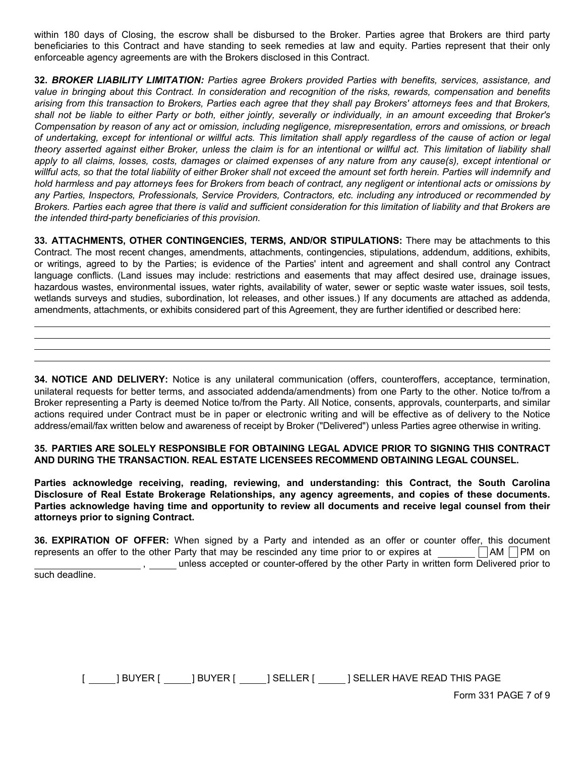within 180 days of Closing, the escrow shall be disbursed to the Broker. Parties agree that Brokers are third party beneficiaries to this Contract and have standing to seek remedies at law and equity. Parties represent that their only enforceable agency agreements are with the Brokers disclosed in this Contract.

32. *BROKER LIABILITY LIMITATION: Parties agree Brokers provided Parties with benefits, services, assistance, and value in bringing about this Contract. In consideration and recognition of the risks, rewards, compensation and benefits arising from this transaction to Brokers, Parties each agree that they shall pay Brokers' attorneys fees and that Brokers, shall not be liable to either Party or both, either jointly, severally or individually, in an amount exceeding that Broker's Compensation by reason of any act or omission, including negligence, misrepresentation, errors and omissions, or breach of undertaking, except for intentional or willful acts. This limitation shall apply regardless of the cause of action or legal theory asserted against either Broker, unless the claim is for an intentional or willful act. This limitation of liability shall apply to all claims, losses, costs, damages or claimed expenses of any nature from any cause(s), except intentional or willful acts, so that the total liability of either Broker shall not exceed the amount set forth herein. Parties will indemnify and hold harmless and pay attorneys fees for Brokers from beach of contract, any negligent or intentional acts or omissions by any Parties, Inspectors, Professionals, Service Providers, Contractors, etc. including any introduced or recommended by Brokers. Parties each agree that there is valid and sufficient consideration for this limitation of liability and that Brokers are the intended third-party beneficiaries of this provision.*

33. ATTACHMENTS, OTHER CONTINGENCIES, TERMS, AND/OR STIPULATIONS: There may be attachments to this Contract. The most recent changes, amendments, attachments, contingencies, stipulations, addendum, additions, exhibits, or writings, agreed to by the Parties; is evidence of the Parties' intent and agreement and shall control any Contract language conflicts. (Land issues may include: restrictions and easements that may affect desired use, drainage issues, hazardous wastes, environmental issues, water rights, availability of water, sewer or septic waste water issues, soil tests, wetlands surveys and studies, subordination, lot releases, and other issues.) If any documents are attached as addenda, amendments, attachments, or exhibits considered part of this Agreement, they are further identified or described here:

34. NOTICE AND DELIVERY: Notice is any unilateral communication (offers, counteroffers, acceptance, termination, unilateral requests for better terms, and associated addenda/amendments) from one Party to the other. Notice to/from a Broker representing a Party is deemed Notice to/from the Party. All Notice, consents, approvals, counterparts, and similar actions required under Contract must be in paper or electronic writing and will be effective as of delivery to the Notice address/email/fax written below and awareness of receipt by Broker ("Delivered") unless Parties agree otherwise in writing.

35. PARTIES ARE SOLELY RESPONSIBLE FOR OBTAINING LEGAL ADVICE PRIOR TO SIGNING THIS CONTRACT AND DURING THE TRANSACTION. REAL ESTATE LICENSEES RECOMMEND OBTAINING LEGAL COUNSEL.

Parties acknowledge receiving, reading, reviewing, and understanding: this Contract, the South Carolina Disclosure of Real Estate Brokerage Relationships, any agency agreements, and copies of these documents. Parties acknowledge having time and opportunity to review all documents and receive legal counsel from their attorneys prior to signing Contract.

**36. EXPIRATION OF OFFER:** When signed by a Party and intended as an offer or counter offer, this document represents an offer to the other Party that may be rescinded any time prior to or expires at  $\Box$  AM  $\Box$  PM on , unless accepted or counter-offered by the other Party in written form Delivered prior to

such deadline.

[ ] BUYER [ ] BUYER [ ] SELLER [ ] SELLER HAVE READ THIS PAGE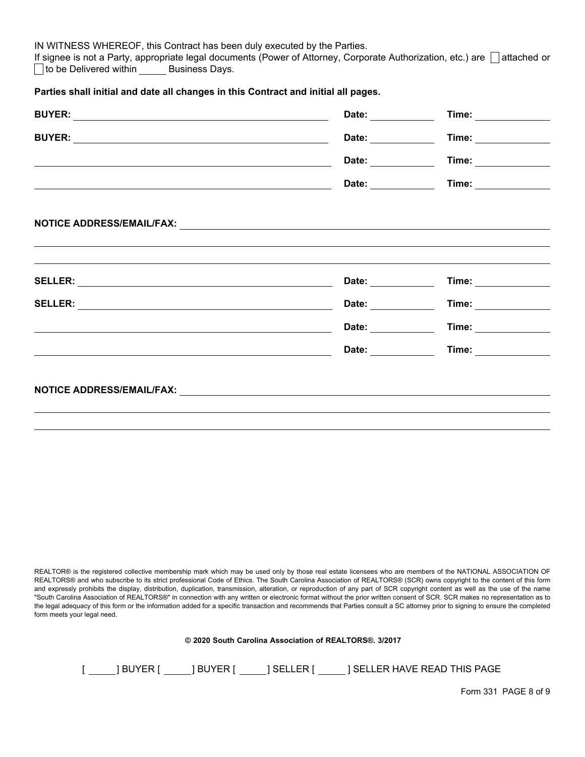IN WITNESS WHEREOF, this Contract has been duly executed by the Parties.

If signee is not a Party, appropriate legal documents (Power of Attorney, Corporate Authorization, etc.) are  $\Box$  attached or  $\Box$  to be Delivered within Business Days.

## Parties shall initial and date all changes in this Contract and initial all pages.

|                                                                                                                 | Date:                                                                                                                                                                                                                          | Time: ______________                                                                                                                                                                                                                |
|-----------------------------------------------------------------------------------------------------------------|--------------------------------------------------------------------------------------------------------------------------------------------------------------------------------------------------------------------------------|-------------------------------------------------------------------------------------------------------------------------------------------------------------------------------------------------------------------------------------|
|                                                                                                                 | Date: ___________                                                                                                                                                                                                              | <b>Time:</b> The contract of the contract of the contract of the contract of the contract of the contract of the contract of the contract of the contract of the contract of the contract of the contract of the contract of the co |
|                                                                                                                 | Date: <b>Example 20</b>                                                                                                                                                                                                        | Time: ____________                                                                                                                                                                                                                  |
|                                                                                                                 | Date: <b>Example 20</b>                                                                                                                                                                                                        | Time: <b>All Accounts</b>                                                                                                                                                                                                           |
|                                                                                                                 |                                                                                                                                                                                                                                |                                                                                                                                                                                                                                     |
|                                                                                                                 |                                                                                                                                                                                                                                |                                                                                                                                                                                                                                     |
|                                                                                                                 |                                                                                                                                                                                                                                |                                                                                                                                                                                                                                     |
|                                                                                                                 | Date: <b>Example 20</b>                                                                                                                                                                                                        | Time: ______________                                                                                                                                                                                                                |
|                                                                                                                 | Date: the contract of the contract of the contract of the contract of the contract of the contract of the contract of the contract of the contract of the contract of the contract of the contract of the contract of the cont | Time: <b>All Accounts</b>                                                                                                                                                                                                           |
|                                                                                                                 | Date: the contract of the contract of the contract of the contract of the contract of the contract of the contract of the contract of the contract of the contract of the contract of the contract of the contract of the cont | <b>Time:</b> The contract of the contract of the contract of the contract of the contract of the contract of the contract of the contract of the contract of the contract of the contract of the contract of the contract of the co |
| the contract of the contract of the contract of the contract of the contract of the contract of the contract of | Date: and the state of the state of the state of the state of the state of the state of the state of the state                                                                                                                 | Time: ______________                                                                                                                                                                                                                |
|                                                                                                                 |                                                                                                                                                                                                                                |                                                                                                                                                                                                                                     |
|                                                                                                                 |                                                                                                                                                                                                                                |                                                                                                                                                                                                                                     |
|                                                                                                                 |                                                                                                                                                                                                                                |                                                                                                                                                                                                                                     |

REALTOR® is the registered collective membership mark which may be used only by those real estate licensees who are members of the NATIONAL ASSOCIATION OF REALTORS® and who subscribe to its strict professional Code of Ethics. The South Carolina Association of REALTORS® (SCR) owns copyright to the content of this form and expressly prohibits the display, distribution, duplication, transmission, alteration, or reproduction of any part of SCR copyright content as well as the use of the name "South Carolina Association of REALTORS®" in connection with any written or electronic format without the prior written consent of SCR. SCR makes no representation as to the legal adequacy of this form or the information added for a specific transaction and recommends that Parties consult a SC attorney prior to signing to ensure the completed form meets your legal need.

|  |  |  |  | © 2020 South Carolina Association of REALTORS®, 3/2017 |  |  |  |
|--|--|--|--|--------------------------------------------------------|--|--|--|
|--|--|--|--|--------------------------------------------------------|--|--|--|

| I BUYER I<br><b>BUYER I</b><br>' SELLER I | 1 SELLER HAVE READ THIS PAGE |
|-------------------------------------------|------------------------------|
|-------------------------------------------|------------------------------|

Form 331 PAGE 8 of 9